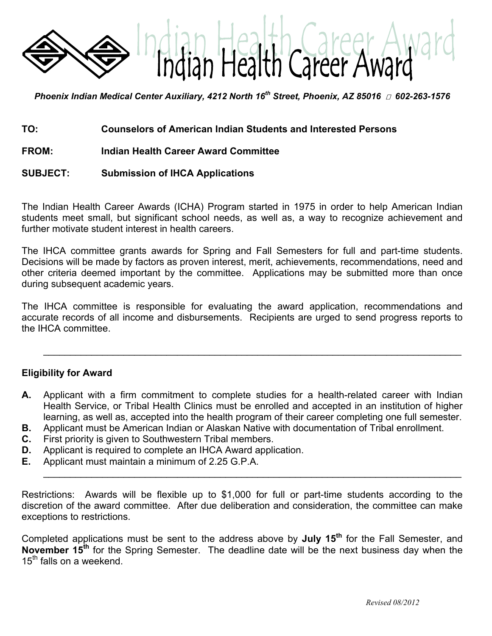

*Phoenix Indian Medical Center Auxiliary, 4212 North 16<sup>th</sup> Street, Phoenix, AZ 85016 <sub><i>□*</sub> 602-263-1576</sub>

- **TO: Counselors of American Indian Students and Interested Persons**
- **FROM: Indian Health Career Award Committee**

#### **SUBJECT: Submission of IHCA Applications**

The Indian Health Career Awards (ICHA) Program started in 1975 in order to help American Indian students meet small, but significant school needs, as well as, a way to recognize achievement and further motivate student interest in health careers.

The IHCA committee grants awards for Spring and Fall Semesters for full and part-time students. Decisions will be made by factors as proven interest, merit, achievements, recommendations, need and other criteria deemed important by the committee. Applications may be submitted more than once during subsequent academic years.

The IHCA committee is responsible for evaluating the award application, recommendations and accurate records of all income and disbursements. Recipients are urged to send progress reports to the IHCA committee.

 $\mathcal{L}=\mathcal{L}=\mathcal{L}=\mathcal{L}=\mathcal{L}=\mathcal{L}=\mathcal{L}=\mathcal{L}=\mathcal{L}=\mathcal{L}=\mathcal{L}=\mathcal{L}=\mathcal{L}=\mathcal{L}=\mathcal{L}=\mathcal{L}=\mathcal{L}=\mathcal{L}=\mathcal{L}=\mathcal{L}=\mathcal{L}=\mathcal{L}=\mathcal{L}=\mathcal{L}=\mathcal{L}=\mathcal{L}=\mathcal{L}=\mathcal{L}=\mathcal{L}=\mathcal{L}=\mathcal{L}=\mathcal{L}=\mathcal{L}=\mathcal{L}=\mathcal{L}=\mathcal{L}=\mathcal{$ 

#### **Eligibility for Award**

- **A.** Applicant with a firm commitment to complete studies for a health-related career with Indian Health Service, or Tribal Health Clinics must be enrolled and accepted in an institution of higher learning, as well as, accepted into the health program of their career completing one full semester.
- **B.** Applicant must be American Indian or Alaskan Native with documentation of Tribal enrollment.
- **C.** First priority is given to Southwestern Tribal members.
- **D.** Applicant is required to complete an IHCA Award application.
- **E.** Applicant must maintain a minimum of 2.25 G.P.A.

Restrictions: Awards will be flexible up to \$1,000 for full or part-time students according to the discretion of the award committee. After due deliberation and consideration, the committee can make exceptions to restrictions.

\_\_\_\_\_\_\_\_\_\_\_\_\_\_\_\_\_\_\_\_\_\_\_\_\_\_\_\_\_\_\_\_\_\_\_\_\_\_\_\_\_\_\_\_\_\_\_\_\_\_\_\_\_\_\_\_\_\_\_\_\_\_\_\_\_\_\_\_\_\_\_\_\_\_\_\_\_\_

Completed applications must be sent to the address above by **July 15th** for the Fall Semester, and **November 15th** for the Spring Semester. The deadline date will be the next business day when the 15<sup>th</sup> falls on a weekend.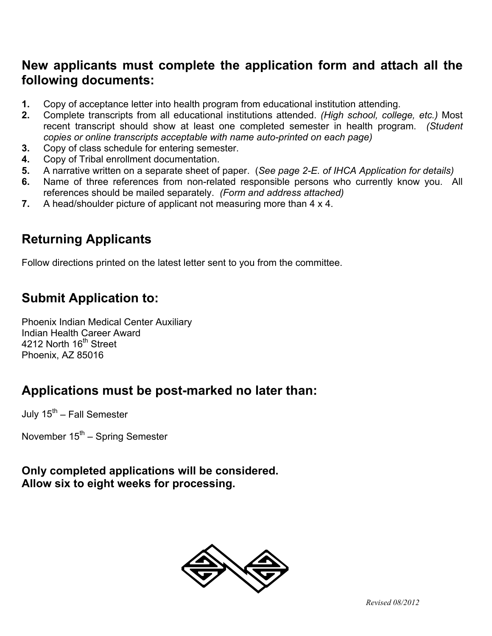## **New applicants must complete the application form and attach all the following documents:**

- **1.** Copy of acceptance letter into health program from educational institution attending.
- **2.** Complete transcripts from all educational institutions attended. *(High school, college, etc.)* Most recent transcript should show at least one completed semester in health program. *(Student copies or online transcripts acceptable with name auto-printed on each page)*
- **3.** Copy of class schedule for entering semester.
- **4.** Copy of Tribal enrollment documentation.
- **5.** A narrative written on a separate sheet of paper. (*See page 2-E. of IHCA Application for details)*
- **6.** Name of three references from non-related responsible persons who currently know you. All references should be mailed separately. *(Form and address attached)*
- **7.** A head/shoulder picture of applicant not measuring more than 4 x 4.

# **Returning Applicants**

Follow directions printed on the latest letter sent to you from the committee.

# **Submit Application to:**

Phoenix Indian Medical Center Auxiliary Indian Health Career Award 4212 North 16<sup>th</sup> Street Phoenix, AZ 85016

# **Applications must be post-marked no later than:**

July  $15^{th}$  – Fall Semester

November  $15<sup>th</sup>$  – Spring Semester

## **Only completed applications will be considered. Allow six to eight weeks for processing.**

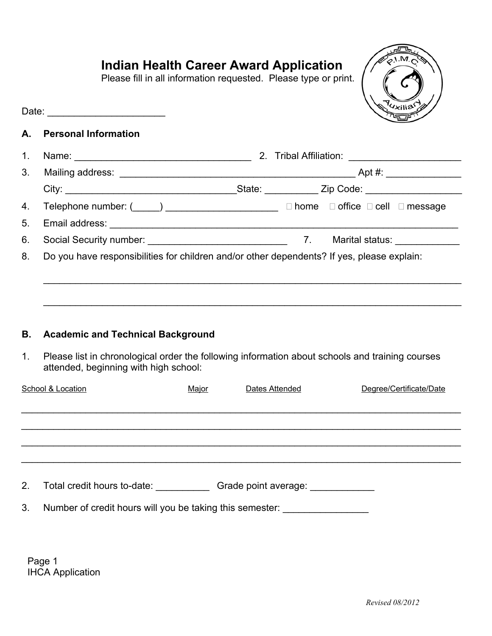# **Indian Health Career Award Application**

Please fill in all information requested. Please type or print.



### **A. Personal Information**

Date: \_\_\_\_\_\_\_\_\_\_\_\_\_\_\_\_\_\_\_\_\_\_

| $1_{-}$        |                                                                                            |  |                                                         |  |
|----------------|--------------------------------------------------------------------------------------------|--|---------------------------------------------------------|--|
|                |                                                                                            |  |                                                         |  |
|                |                                                                                            |  | _State: ______________ Zip Code: ______________________ |  |
|                |                                                                                            |  |                                                         |  |
| 5 <sub>1</sub> |                                                                                            |  |                                                         |  |
| 6.             |                                                                                            |  |                                                         |  |
| 8.             | Do you have responsibilities for children and/or other dependents? If yes, please explain: |  |                                                         |  |
|                |                                                                                            |  |                                                         |  |
|                |                                                                                            |  |                                                         |  |
|                |                                                                                            |  |                                                         |  |
|                |                                                                                            |  |                                                         |  |
| В.             | <b>Academic and Technical Background</b>                                                   |  |                                                         |  |

1. Please list in chronological order the following information about schools and training courses attended, beginning with high school:

| School & Location |                                                          | Major | Dates Attended       | Degree/Certificate/Date |  |
|-------------------|----------------------------------------------------------|-------|----------------------|-------------------------|--|
|                   |                                                          |       |                      |                         |  |
|                   |                                                          |       |                      |                         |  |
|                   |                                                          |       |                      |                         |  |
|                   |                                                          |       |                      |                         |  |
| 2 <sub>1</sub>    | Total credit hours to-date:                              |       | Grade point average: |                         |  |
| 3.                | Number of credit hours will you be taking this semester: |       |                      |                         |  |

Page 1 IHCA Application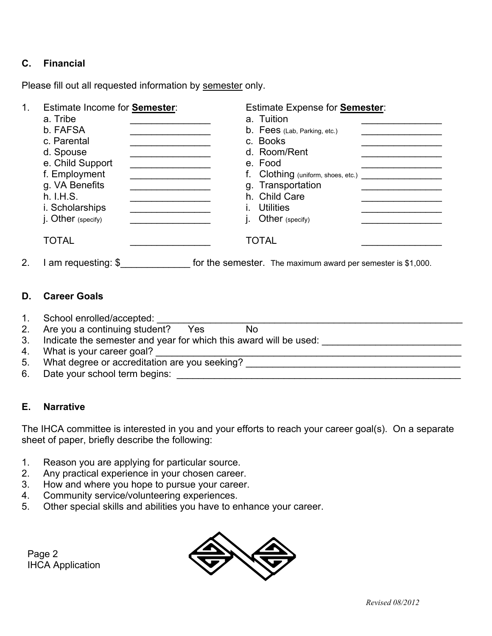### **C. Financial**

Please fill out all requested information by semester only.

| 1. | <b>Estimate Income for Semester:</b><br>a. Tribe<br>b. FAFSA<br>c. Parental<br>d. Spouse<br>e. Child Support<br>f. Employment<br>g. VA Benefits<br>h. I.H.S.<br>i. Scholarships<br>j. Other (specify) | Estimate Expense for <b>Semester</b> :<br>a. Tuition<br><b>b.</b> Fees (Lab, Parking, etc.)<br>c. Books<br>d. Room/Rent<br>e. Food<br>f. Clothing (uniform, shoes, etc.)<br>g. Transportation<br>h. Child Care<br><b>Utilities</b><br>Other (specify) |  |
|----|-------------------------------------------------------------------------------------------------------------------------------------------------------------------------------------------------------|-------------------------------------------------------------------------------------------------------------------------------------------------------------------------------------------------------------------------------------------------------|--|
|    | <b>TOTAL</b>                                                                                                                                                                                          | <b>TOTAL</b>                                                                                                                                                                                                                                          |  |
| 2. | am requesting: $$$                                                                                                                                                                                    | for the semester. The maximum award per semester is \$1,000.                                                                                                                                                                                          |  |

#### **D. Career Goals**

- 
- 1. School enrolled/accepted:<br>2 Are vou a continuing student? Yes No 2. Are you a continuing student? Yes
- 3. Indicate the semester and year for which this award will be used:
- 4. What is your career goal? \_\_\_\_\_\_\_\_\_\_\_\_\_\_\_\_\_\_\_\_\_\_\_\_\_\_\_\_\_\_\_\_\_\_\_\_\_\_\_\_\_\_\_\_\_\_\_\_\_\_\_\_\_\_\_\_\_
- 5. What degree or accreditation are you seeking? \_\_\_\_\_\_\_\_\_\_\_\_\_\_\_\_\_\_\_\_\_\_\_\_\_\_\_\_\_\_\_
- 6. Date your school term begins:

### **E. Narrative**

The IHCA committee is interested in you and your efforts to reach your career goal(s). On a separate sheet of paper, briefly describe the following:

- 1. Reason you are applying for particular source.
- 2. Any practical experience in your chosen career.
- 3. How and where you hope to pursue your career.
- 4. Community service/volunteering experiences.
- 5. Other special skills and abilities you have to enhance your career.

Page 2 IHCA Application

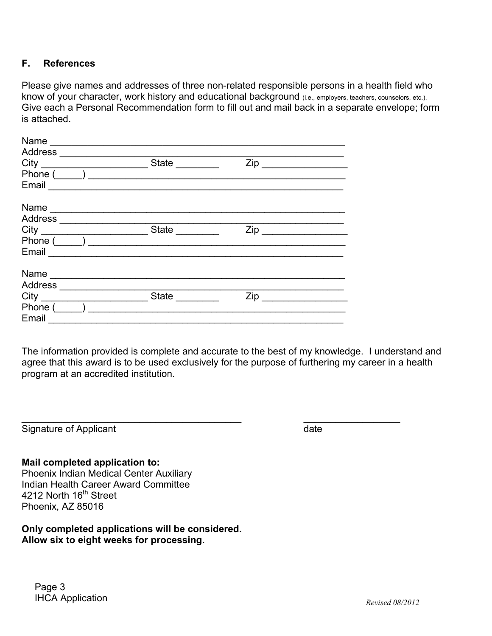### **F. References**

Please give names and addresses of three non-related responsible persons in a health field who know of your character, work history and educational background (i.e., employers, teachers, counselors, etc.). Give each a Personal Recommendation form to fill out and mail back in a separate envelope; form is attached.

| Name                                                                                  |              |                                                      |
|---------------------------------------------------------------------------------------|--------------|------------------------------------------------------|
| Address                                                                               |              |                                                      |
| City                                                                                  | State        | Zip<br><u> 1980 - Johann Barbara, martin a</u>       |
| Phone (                                                                               |              |                                                      |
| Email                                                                                 |              |                                                      |
| Name                                                                                  |              |                                                      |
| Address<br>the control of the control of the control of the control of the control of |              |                                                      |
|                                                                                       | <b>State</b> | Zip<br><u> 1989 - John Stein, mars and de Brande</u> |
| Phone (                                                                               |              |                                                      |
| Email                                                                                 |              |                                                      |
| Name                                                                                  |              |                                                      |
| Address                                                                               |              |                                                      |
| City                                                                                  | <b>State</b> | Zip                                                  |
| Phone (                                                                               |              |                                                      |
| Email                                                                                 |              |                                                      |

The information provided is complete and accurate to the best of my knowledge. I understand and agree that this award is to be used exclusively for the purpose of furthering my career in a health program at an accredited institution.

\_\_\_\_\_\_\_\_\_\_\_\_\_\_\_\_\_\_\_\_\_\_\_\_\_\_\_\_\_\_\_\_\_\_\_\_\_\_\_\_\_ \_\_\_\_\_\_\_\_\_\_\_\_\_\_\_\_\_\_

Signature of Applicant date date

### **Mail completed application to:**

Phoenix Indian Medical Center Auxiliary Indian Health Career Award Committee 4212 North 16<sup>th</sup> Street Phoenix, AZ 85016

**Only completed applications will be considered. Allow six to eight weeks for processing.**